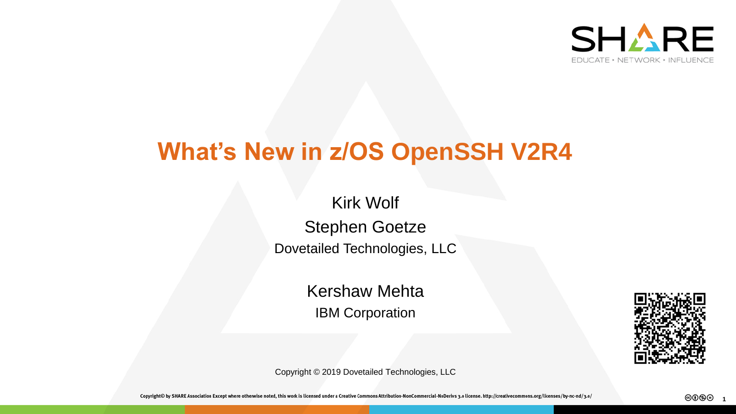

# **What's New in z/OS OpenSSH V2R4**

Kirk Wolf Stephen Goetze Dovetailed Technologies, LLC

> Kershaw Mehta IBM Corporation



Copyright © 2019 Dovetailed Technologies, LLC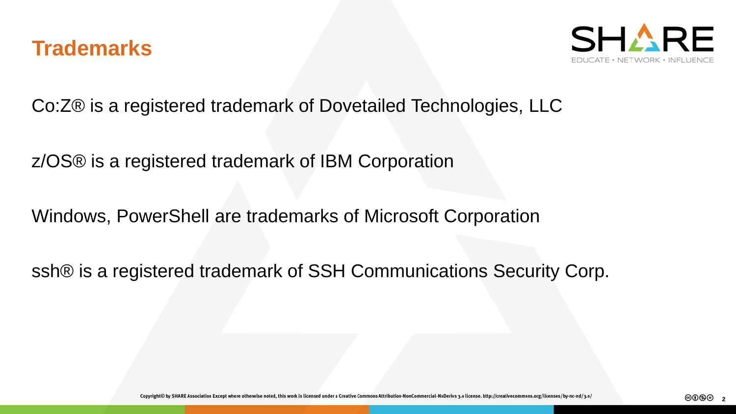



Co:Z® is a registered trademark of Dovetailed Technologies, LLC

z/OS® is a registered trademark of IBM Corporation

Windows, PowerShell are trademarks of Microsoft Corporation

ssh® is a registered trademark of SSH Communications Security Corp.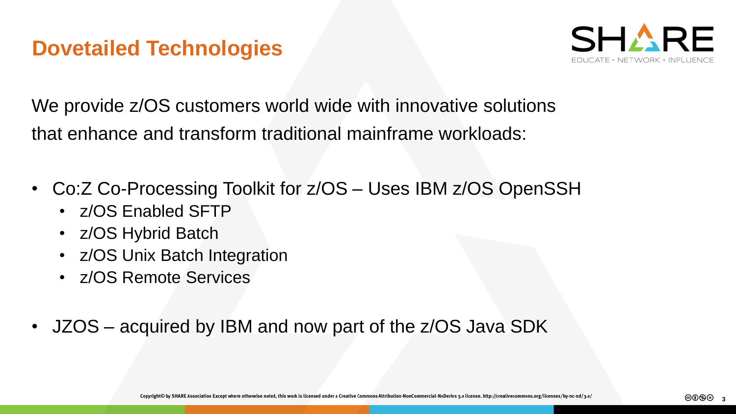#### **Dovetailed Technologies**



We provide  $z/OS$  customers world wide with innovative solutions that enhance and transform traditional mainframe workloads:

- Co:Z Co-Processing Toolkit for z/OS Uses IBM z/OS OpenSSH
	- z/OS Enabled SFTP
	- z/OS Hybrid Batch
	- z/OS Unix Batch Integration
	- z/OS Remote Services
- JZOS acquired by IBM and now part of the z/OS Java SDK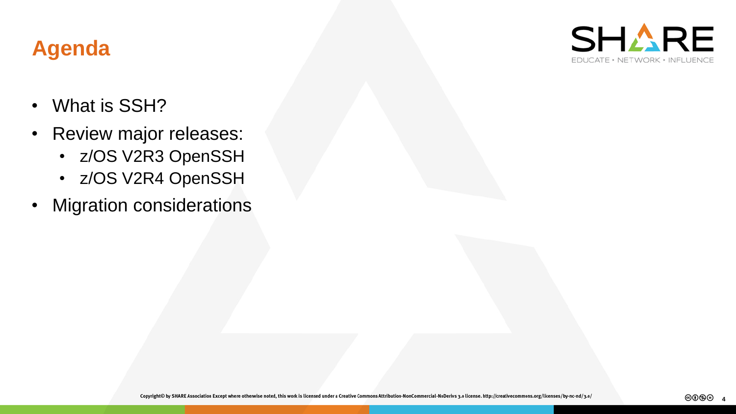# **Agenda**



- What is SSH?
- Review major releases:
	- z/OS V2R3 OpenSSH
	- z/OS V2R4 OpenSSH
- Migration considerations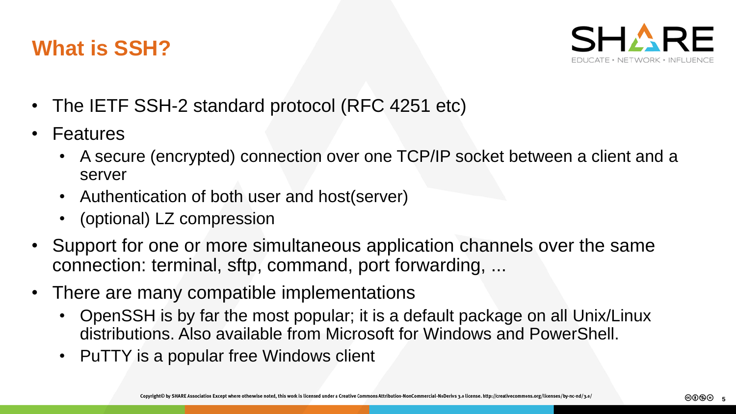#### **What is SSH?**



- The IETF SSH-2 standard protocol (RFC 4251 etc)
- Features
	- A secure (encrypted) connection over one TCP/IP socket between a client and a server
	- Authentication of both user and host(server)
	- (optional) LZ compression
- Support for one or more simultaneous application channels over the same connection: terminal, sftp, command, port forwarding, ...
- There are many compatible implementations
	- OpenSSH is by far the most popular; it is a default package on all Unix/Linux distributions. Also available from Microsoft for Windows and PowerShell.
	- PuTTY is a popular free Windows client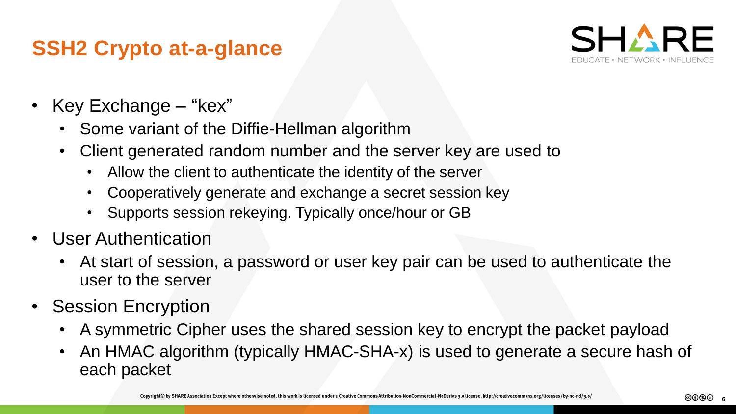#### **SSH2 Crypto at-a-glance**



- Key Exchange "kex"
	- Some variant of the Diffie-Hellman algorithm
	- Client generated random number and the server key are used to
		- Allow the client to authenticate the identity of the server
		- Cooperatively generate and exchange a secret session key
		- Supports session rekeying. Typically once/hour or GB
- User Authentication
	- At start of session, a password or user key pair can be used to authenticate the user to the server
- Session Encryption
	- A symmetric Cipher uses the shared session key to encrypt the packet payload
	- An HMAC algorithm (typically HMAC-SHA-x) is used to generate a secure hash of each packet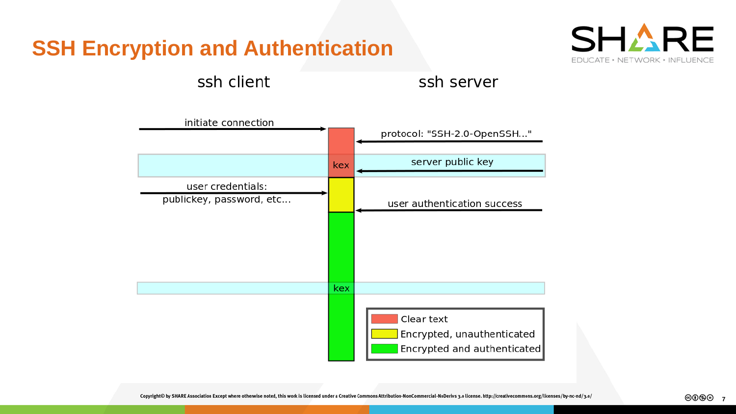### **SSH Encryption and Authentication**



ssh client

ssh server

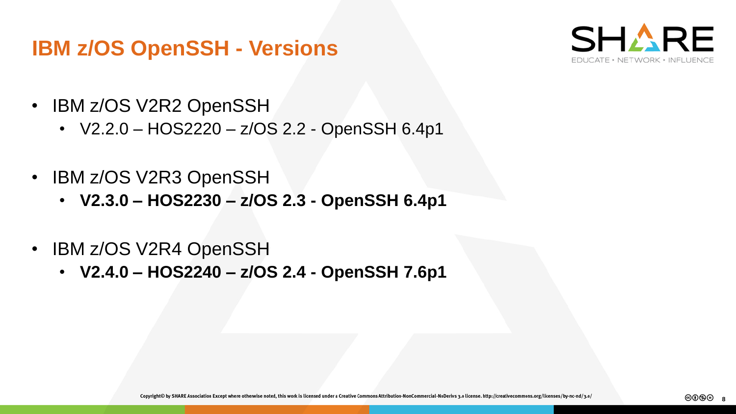#### **IBM z/OS OpenSSH - Versions**



- IBM z/OS V2R2 OpenSSH
	- V2.2.0 HOS2220 z/OS 2.2 OpenSSH 6.4p1
- IBM z/OS V2R3 OpenSSH
	- **V2.3.0 – HOS2230 – z/OS 2.3 - OpenSSH 6.4p1**
- IBM z/OS V2R4 OpenSSH
	- **V2.4.0 – HOS2240 – z/OS 2.4 - OpenSSH 7.6p1**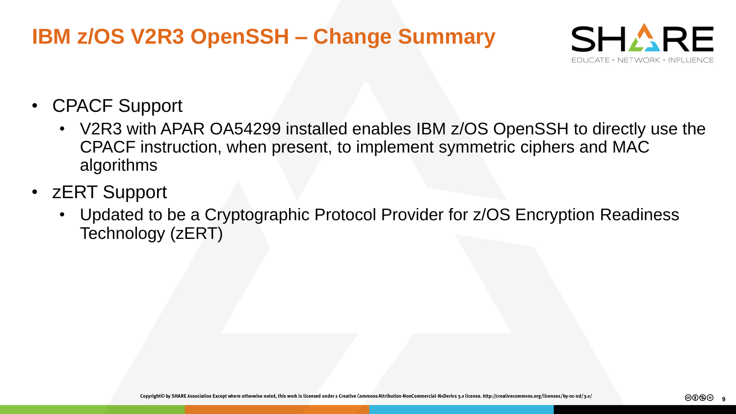## **IBM z/OS V2R3 OpenSSH – Change Summary**



- CPACF Support
	- V2R3 with APAR OA54299 installed enables IBM z/OS OpenSSH to directly use the CPACF instruction, when present, to implement symmetric ciphers and MAC algorithms
- zERT Support
	- Updated to be a Cryptographic Protocol Provider for z/OS Encryption Readiness Technology (zERT)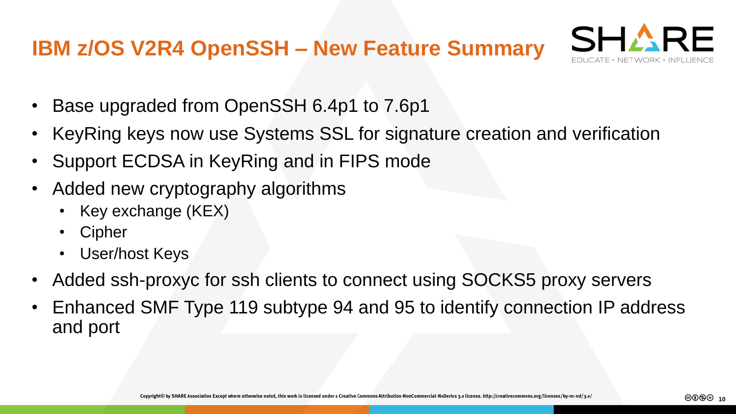#### **IBM z/OS V2R4 OpenSSH – New Feature Summary**



- Base upgraded from OpenSSH 6.4p1 to 7.6p1
- KeyRing keys now use Systems SSL for signature creation and verification
- Support ECDSA in KeyRing and in FIPS mode
- Added new cryptography algorithms
	- Key exchange (KEX)
	- **Cipher**
	- User/host Keys
- Added ssh-proxyc for ssh clients to connect using SOCKS5 proxy servers
- Enhanced SMF Type 119 subtype 94 and 95 to identify connection IP address and port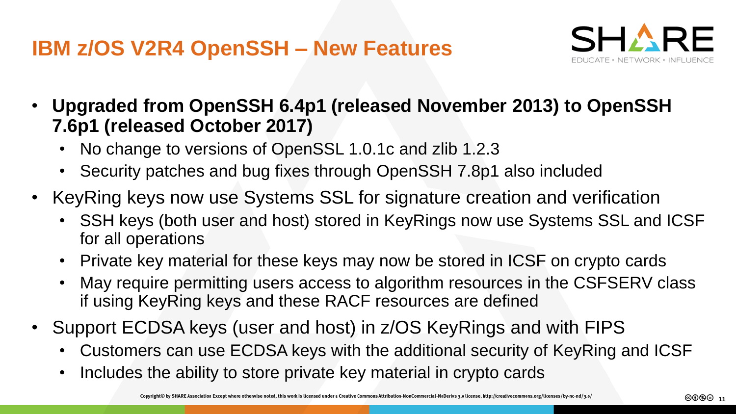

- **Upgraded from OpenSSH 6.4p1 (released November 2013) to OpenSSH 7.6p1 (released October 2017)**
	- No change to versions of OpenSSL 1.0.1c and zlib 1.2.3
	- Security patches and bug fixes through OpenSSH 7.8p1 also included
- KeyRing keys now use Systems SSL for signature creation and verification
	- SSH keys (both user and host) stored in KeyRings now use Systems SSL and ICSF for all operations
	- Private key material for these keys may now be stored in ICSF on crypto cards
	- May require permitting users access to algorithm resources in the CSFSERV class if using KeyRing keys and these RACF resources are defined
- Support ECDSA keys (user and host) in z/OS KeyRings and with FIPS
	- Customers can use ECDSA keys with the additional security of KeyRing and ICSF
	- Includes the ability to store private key material in crypto cards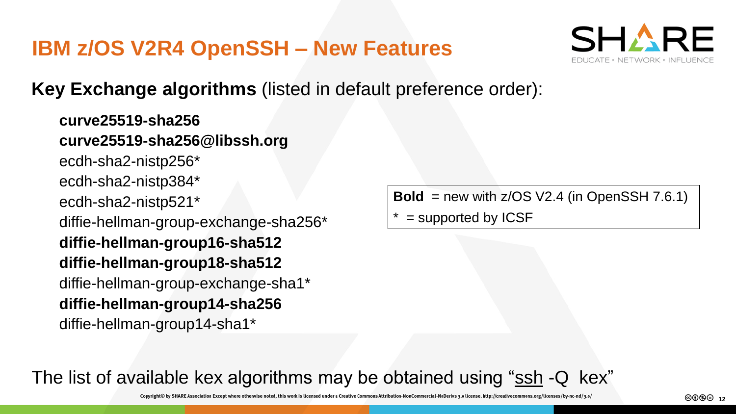

**Key Exchange algorithms** (listed in default preference order):

**curve25519-sha256 curve25519-sha256@libssh.org** ecdh-sha2-nistp256\* ecdh-sha2-nistp384\* ecdh-sha2-nistp521\* diffie-hellman-group-exchange-sha256\* **diffie-hellman-group16-sha512 diffie-hellman-group18-sha512** diffie-hellman-group-exchange-sha1\* **diffie-hellman-group14-sha256** diffie-hellman-group14-sha1\*

**Bold** = new with  $z/OS V2.4$  (in OpenSSH 7.6.1)

 $=$  supported by ICSF

The list of available kex algorithms may be obtained using "ssh -Q kex"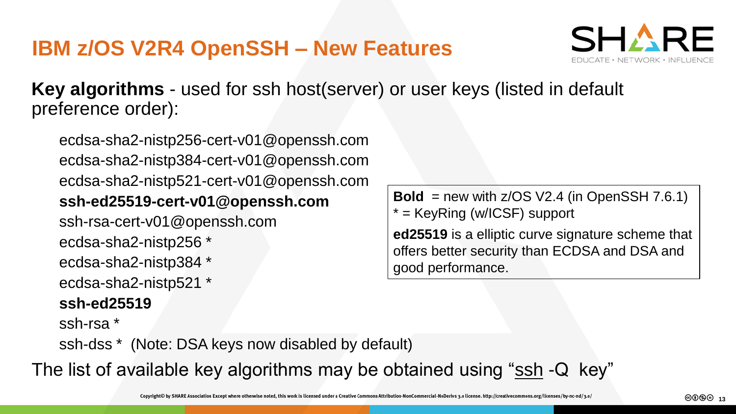

**Key algorithms** - used for ssh host(server) or user keys (listed in default preference order):

ecdsa-sha2-nistp256-cert-v01@openssh.com ecdsa-sha2-nistp384-cert-v01@openssh.com ecdsa-sha2-nistp521-cert-v01@openssh.com **ssh-ed25519-cert-v01@openssh.com** ssh-rsa-cert-v01@openssh.com ecdsa-sha2-nistp256 \* ecdsa-sha2-nistp384 \* ecdsa-sha2-nistp521 \* **ssh-ed25519** ssh-rsa \*

**Bold** = new with  $z/OS V2.4$  (in OpenSSH 7.6.1) \* = KeyRing (w/ICSF) support

**ed25519** is a elliptic curve signature scheme that offers better security than ECDSA and DSA and good performance.

ssh-dss \* (Note: DSA keys now disabled by default)

The list of available key algorithms may be obtained using "ssh -Q key"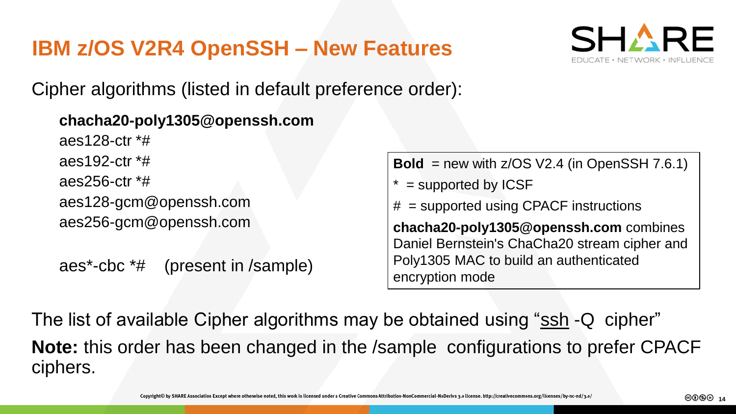

Cipher algorithms (listed in default preference order):

#### **chacha20-poly1305@openssh.com**

aes128-ctr \*# aes192-ctr \*# aes256-ctr \*# aes128-gcm@openssh.com aes256-gcm@openssh.com

```
aes*-cbc *# (present in /sample)
```
**Bold** = new with  $z/OS V2.4$  (in OpenSSH 7.6.1)

- $*$  = supported by ICSF
- # = supported using CPACF instructions

**chacha20-poly1305@openssh.com** combines Daniel Bernstein's ChaCha20 stream cipher and Poly1305 MAC to build an authenticated encryption mode

The list of available Cipher algorithms may be obtained using "ssh -Q cipher" **Note:** this order has been changed in the /sample configurations to prefer CPACF ciphers.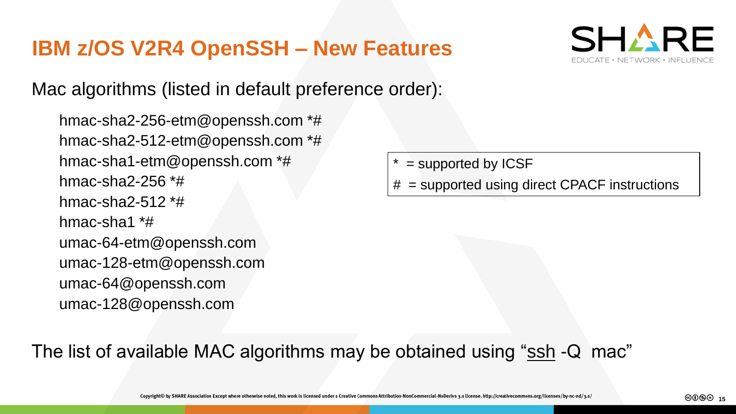

Mac algorithms (listed in default preference order):

hmac-sha2-256-etm@openssh.com \*# hmac-sha2-512-etm@openssh.com \*# hmac-sha1-etm@openssh.com \*# hmac-sha2-256 \*# hmac-sha2-512 $*$ # hmac-sha1 \*# umac-64-etm@openssh.com umac-128-etm@openssh.com umac-64@openssh.com umac-128@openssh.com

- $=$  supported by ICSF
- = supported using direct CPACF instructions

The list of available MAC algorithms may be obtained using "ssh -Q mac"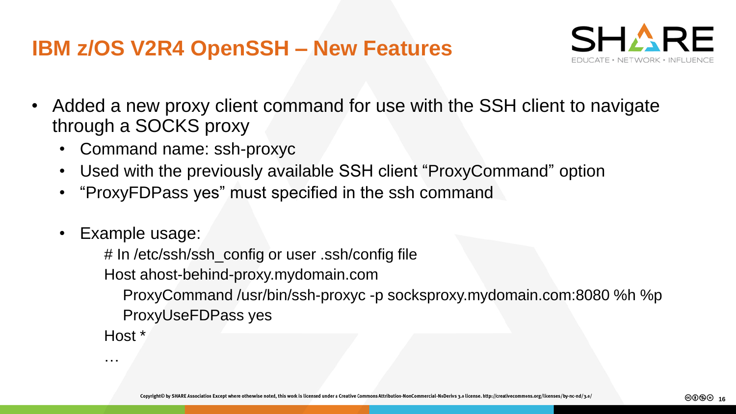

- Added a new proxy client command for use with the SSH client to navigate through a SOCKS proxy
	- Command name: ssh-proxyc
	- Used with the previously available SSH client "ProxyCommand" option
	- "ProxyFDPass yes" must specified in the ssh command
	- Example usage:

…

# In /etc/ssh/ssh\_config or user .ssh/config file Host ahost-behind-proxy.mydomain.com ProxyCommand /usr/bin/ssh-proxyc -p socksproxy.mydomain.com:8080 %h %p ProxyUseFDPass yes Host \*

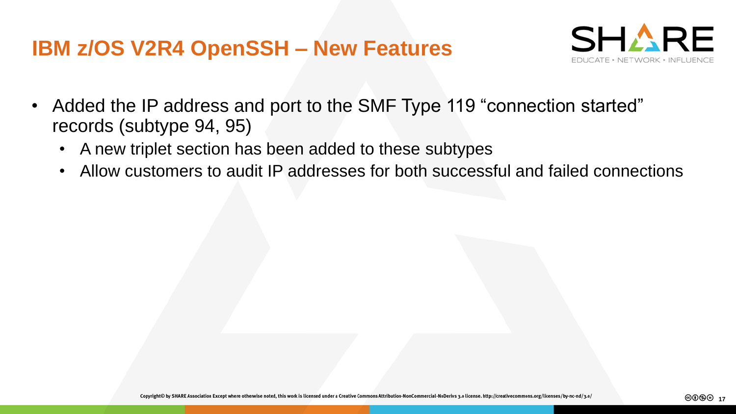

- Added the IP address and port to the SMF Type 119 "connection started" records (subtype 94, 95)
	- A new triplet section has been added to these subtypes
	- Allow customers to audit IP addresses for both successful and failed connections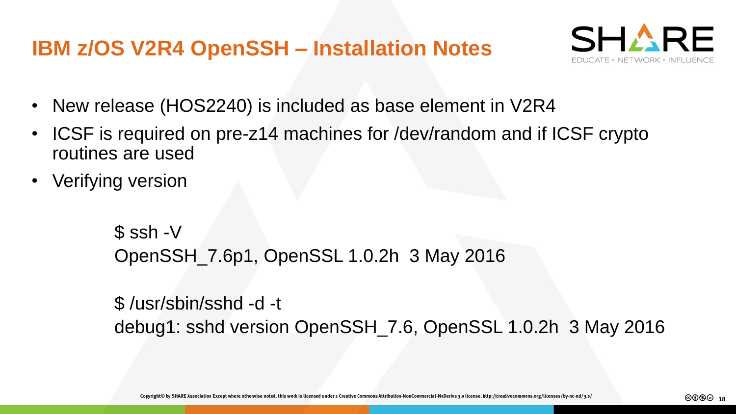## **IBM z/OS V2R4 OpenSSH – Installation Notes**



- New release (HOS2240) is included as base element in V2R4
- ICSF is required on pre-z14 machines for /dev/random and if ICSF crypto routines are used
- Verifying version

```
$ ssh -V
OpenSSH_7.6p1, OpenSSL 1.0.2h 3 May 2016
```
\$ /usr/sbin/sshd -d -t debug1: sshd version OpenSSH\_7.6, OpenSSL 1.0.2h 3 May 2016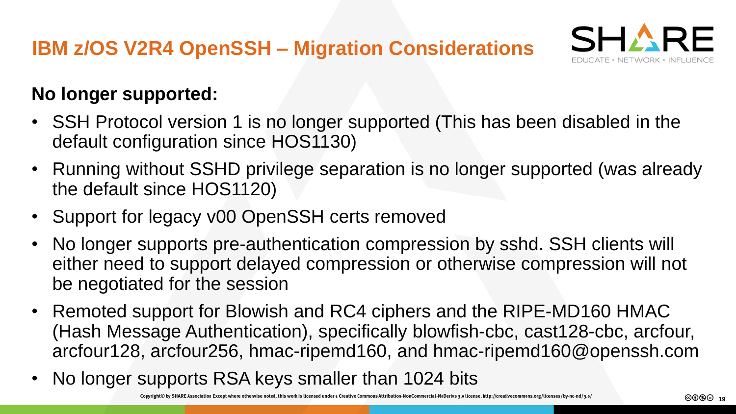

#### **No longer supported:**

- SSH Protocol version 1 is no longer supported (This has been disabled in the default configuration since HOS1130)
- Running without SSHD privilege separation is no longer supported (was already the default since HOS1120)
- Support for legacy v00 OpenSSH certs removed
- No longer supports pre-authentication compression by sshd. SSH clients will either need to support delayed compression or otherwise compression will not be negotiated for the session
- Remoted support for Blowish and RC4 ciphers and the RIPE-MD160 HMAC (Hash Message Authentication), specifically blowfish-cbc, cast128-cbc, arcfour, arcfour128, arcfour256, hmac-ripemd160, and hmac-ripemd160@openssh.com
- No longer supports RSA keys smaller than 1024 bits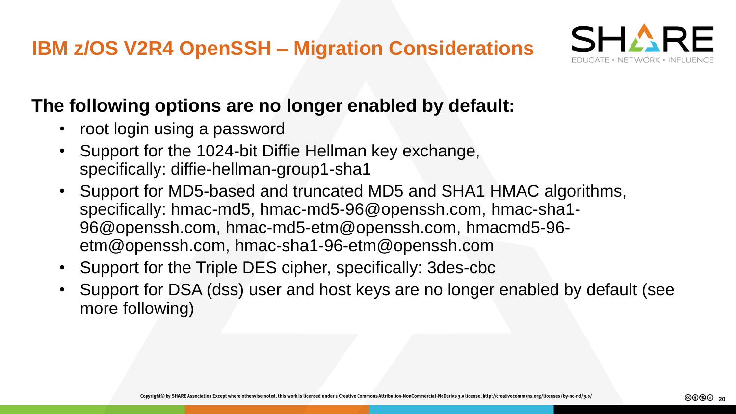

#### **The following options are no longer enabled by default:**

- root login using a password
- Support for the 1024-bit Diffie Hellman key exchange, specifically: diffie-hellman-group1-sha1
- Support for MD5-based and truncated MD5 and SHA1 HMAC algorithms, specifically: hmac-md5, hmac-md5-96@openssh.com, hmac-sha1- 96@openssh.com, hmac-md5-etm@openssh.com, hmacmd5-96 etm@openssh.com, hmac-sha1-96-etm@openssh.com
- Support for the Triple DES cipher, specifically: 3des-cbc
- Support for DSA (dss) user and host keys are no longer enabled by default (see more following)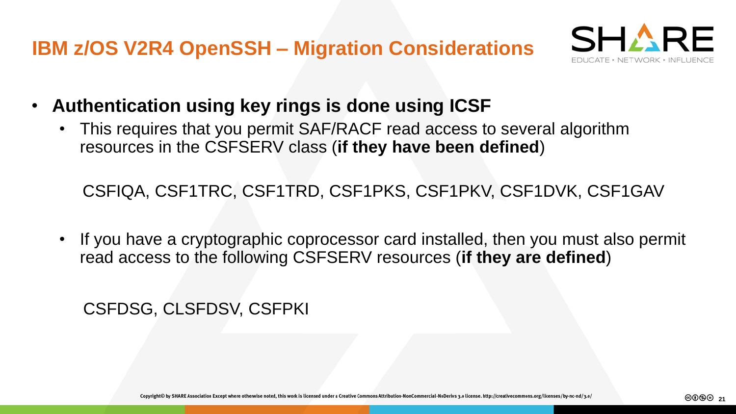

- **Authentication using key rings is done using ICSF**
	- This requires that you permit SAF/RACF read access to several algorithm resources in the CSFSERV class (**if they have been defined**)

CSFIQA, CSF1TRC, CSF1TRD, CSF1PKS, CSF1PKV, CSF1DVK, CSF1GAV

• If you have a cryptographic coprocessor card installed, then you must also permit read access to the following CSFSERV resources (**if they are defined**)

CSFDSG, CLSFDSV, CSFPKI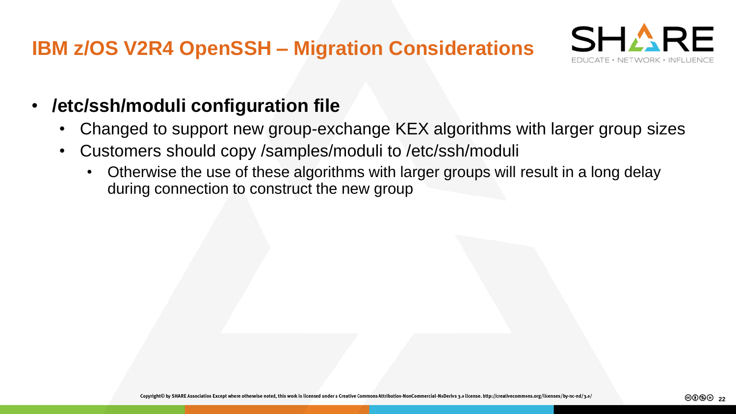

- **/etc/ssh/moduli configuration file**
	- Changed to support new group-exchange KEX algorithms with larger group sizes
	- Customers should copy /samples/moduli to /etc/ssh/moduli
		- Otherwise the use of these algorithms with larger groups will result in a long delay during connection to construct the new group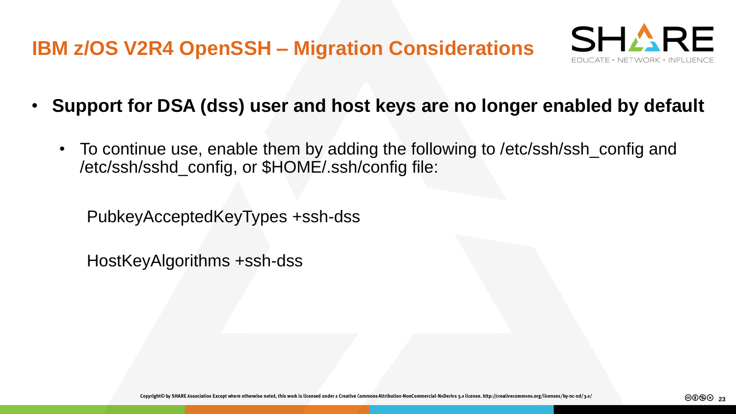

- **Support for DSA (dss) user and host keys are no longer enabled by default**
	- To continue use, enable them by adding the following to /etc/ssh/ssh\_config and /etc/ssh/sshd\_config, or \$HOME/.ssh/config file:

PubkeyAcceptedKeyTypes +ssh-dss

HostKeyAlgorithms +ssh-dss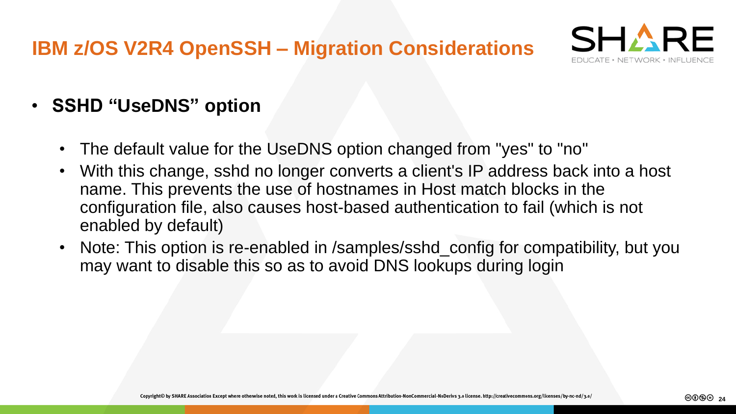

- **SSHD "UseDNS" option**
	- The default value for the UseDNS option changed from "yes" to "no"
	- With this change, sshd no longer converts a client's IP address back into a host name. This prevents the use of hostnames in Host match blocks in the configuration file, also causes host-based authentication to fail (which is not enabled by default)
	- Note: This option is re-enabled in /samples/sshd\_config for compatibility, but you may want to disable this so as to avoid DNS lookups during login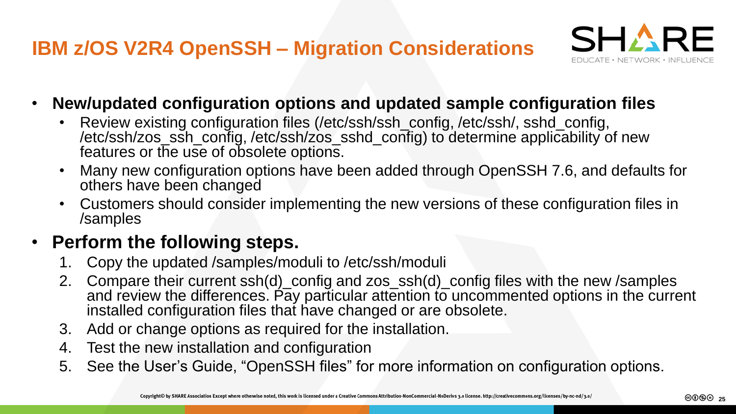

- **New/updated configuration options and updated sample configuration files**
	- Review existing configuration files (/etc/ssh/ssh\_config, /etc/ssh/, sshd\_config, /etc/ssh/zos\_ssh\_config, /etc/ssh/zos\_sshd\_config) to determine applicability of new features or the use of obsolete options.
	- Many new configuration options have been added through OpenSSH 7.6, and defaults for others have been changed
	- Customers should consider implementing the new versions of these configuration files in /samples

#### • **Perform the following steps.**

- 1. Copy the updated /samples/moduli to /etc/ssh/moduli
- 2. Compare their current ssh(d)\_config and zos\_ssh(d)\_config files with the new /samples and review the differences. Pay particular attention to uncommented options in the current installed configuration files that have changed or are obsolete.
- 3. Add or change options as required for the installation.
- 4. Test the new installation and configuration
- 5. See the User's Guide, "OpenSSH files" for more information on configuration options.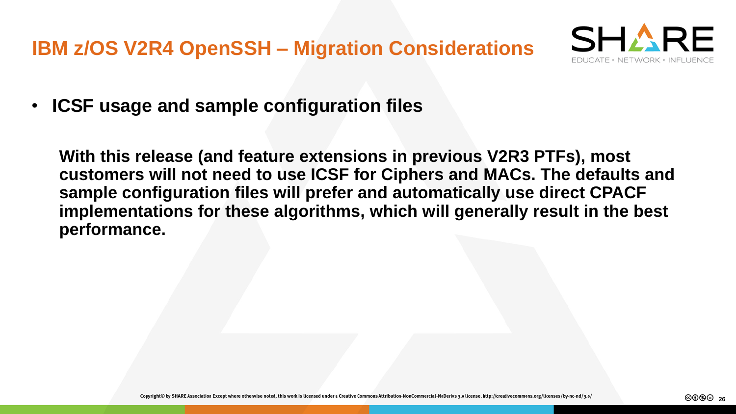

• **ICSF usage and sample configuration files**

**With this release (and feature extensions in previous V2R3 PTFs), most customers will not need to use ICSF for Ciphers and MACs. The defaults and sample configuration files will prefer and automatically use direct CPACF implementations for these algorithms, which will generally result in the best performance.**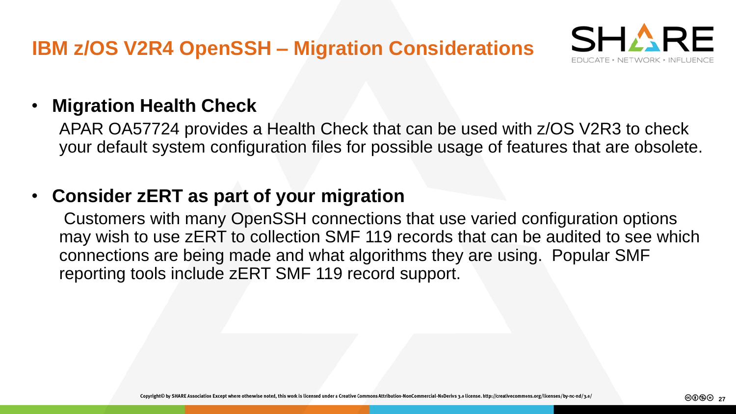

#### • **Migration Health Check**

APAR OA57724 provides a Health Check that can be used with z/OS V2R3 to check your default system configuration files for possible usage of features that are obsolete.

#### • **Consider zERT as part of your migration**

Customers with many OpenSSH connections that use varied configuration options may wish to use zERT to collection SMF 119 records that can be audited to see which connections are being made and what algorithms they are using. Popular SMF reporting tools include zERT SMF 119 record support.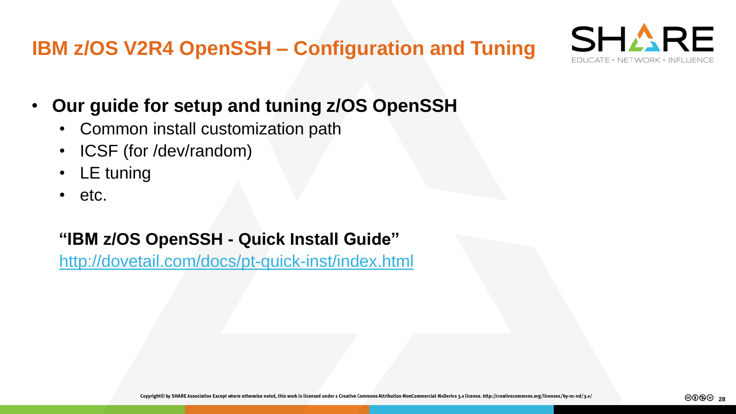**IBM z/OS V2R4 OpenSSH – Configuration and Tuning**



- **Our guide for setup and tuning z/OS OpenSSH**
	- Common install customization path
	- ICSF (for /dev/random)
	- LE tuning
	- etc.

#### **"IBM z/OS OpenSSH - Quick Install Guide"**

<http://dovetail.com/docs/pt-quick-inst/index.html>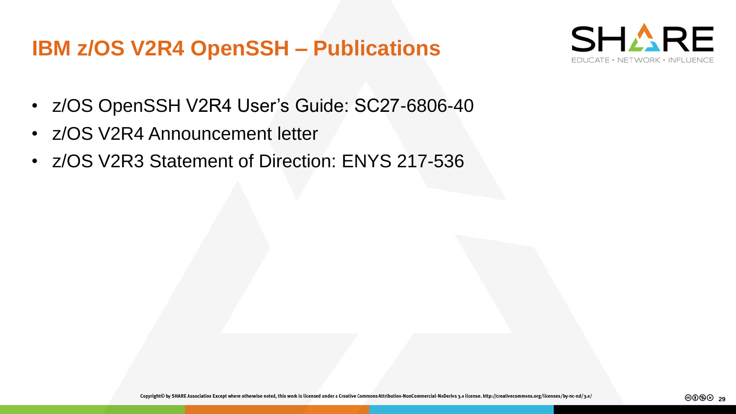#### **IBM z/OS V2R4 OpenSSH – Publications**



- z/OS OpenSSH V2R4 User's Guide: SC27-6806-40
- z/OS V2R4 Announcement letter
- z/OS V2R3 Statement of Direction: ENYS 217-536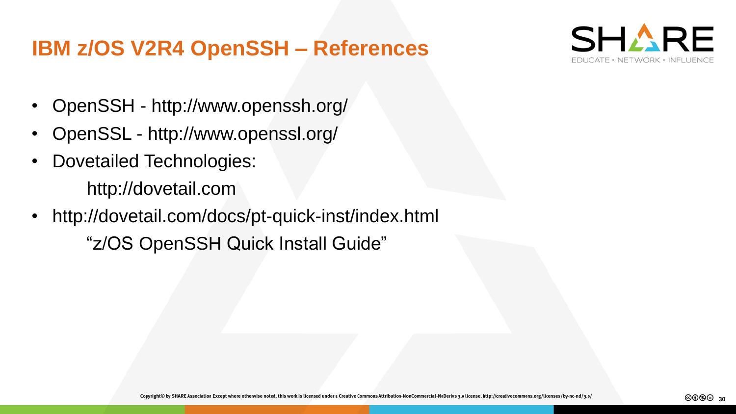#### **IBM z/OS V2R4 OpenSSH – References**



- OpenSSH http://www.openssh.org/
- OpenSSL http://www.openssl.org/
- Dovetailed Technologies: http://dovetail.com
- http://dovetail.com/docs/pt-quick-inst/index.html "z/OS OpenSSH Quick Install Guide"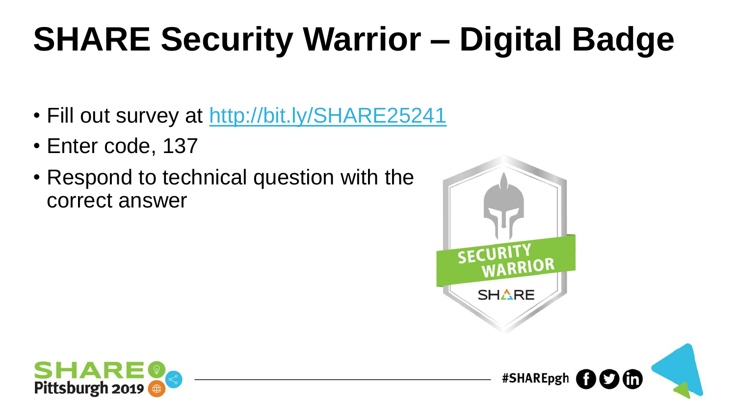# **SHARE Security Warrior – Digital Badge**

- Fill out survey at <http://bit.ly/SHARE25241>
- Enter code, 137
- Respond to technical question with the correct answer



#SHAREpgh **to** the